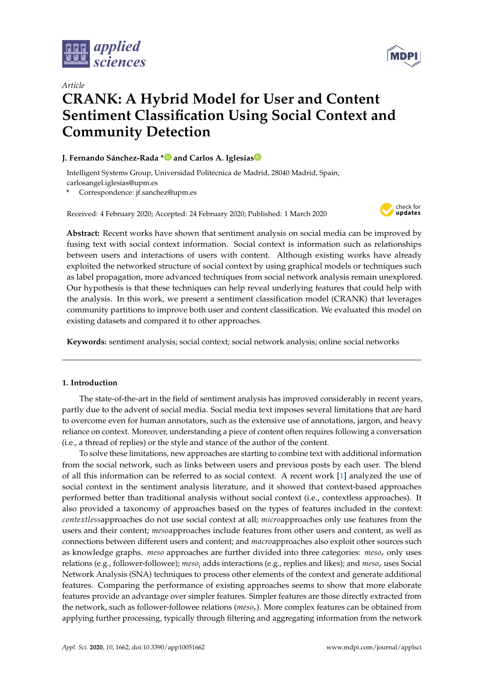



# *Article* **CRANK: A Hybrid Model for User and Content Sentiment Classification Using Social Context and Community Detection**

## **J. Fernando Sánchez-Rada [\\*](https://orcid.org/0000-0003-3545-9252) and Carlos A. Iglesia[s](https://orcid.org/0000-0002-1755-2712)**

Intelligent Systems Group, Universidad Politécnica de Madrid, 28040 Madrid, Spain; carlosangel.iglesias@upm.es

**\*** Correspondence: jf.sanchez@upm.es

Received: 4 February 2020; Accepted: 24 February 2020; Published: 1 March 2020



**Abstract:** Recent works have shown that sentiment analysis on social media can be improved by fusing text with social context information. Social context is information such as relationships between users and interactions of users with content. Although existing works have already exploited the networked structure of social context by using graphical models or techniques such as label propagation, more advanced techniques from social network analysis remain unexplored. Our hypothesis is that these techniques can help reveal underlying features that could help with the analysis. In this work, we present a sentiment classification model (CRANK) that leverages community partitions to improve both user and content classification. We evaluated this model on existing datasets and compared it to other approaches.

**Keywords:** sentiment analysis; social context; social network analysis; online social networks

## **1. Introduction**

The state-of-the-art in the field of sentiment analysis has improved considerably in recent years, partly due to the advent of social media. Social media text imposes several limitations that are hard to overcome even for human annotators, such as the extensive use of annotations, jargon, and heavy reliance on context. Moreover, understanding a piece of content often requires following a conversation (i.e., a thread of replies) or the style and stance of the author of the content.

To solve these limitations, new approaches are starting to combine text with additional information from the social network, such as links between users and previous posts by each user. The blend of all this information can be referred to as social context. A recent work [\[1\]](#page-19-0) analyzed the use of social context in the sentiment analysis literature, and it showed that context-based approaches performed better than traditional analysis without social context (i.e., contextless approaches). It also provided a taxonomy of approaches based on the types of features included in the context: *contextless*approaches do not use social context at all; *micro*approaches only use features from the users and their content; *meso*approaches include features from other users and content, as well as connections between different users and content; and *macro*approaches also exploit other sources such as knowledge graphs. *meso* approaches are further divided into three categories: *meso<sup>r</sup>* only uses relations (e.g., follower-followee); *meso<sup>i</sup>* adds interactions (e.g., replies and likes); and *meso<sup>e</sup>* uses Social Network Analysis (SNA) techniques to process other elements of the context and generate additional features. Comparing the performance of existing approaches seems to show that more elaborate features provide an advantage over simpler features. Simpler features are those directly extracted from the network, such as follower-followee relations (*mesor*). More complex features can be obtained from applying further processing, typically through filtering and aggregating information from the network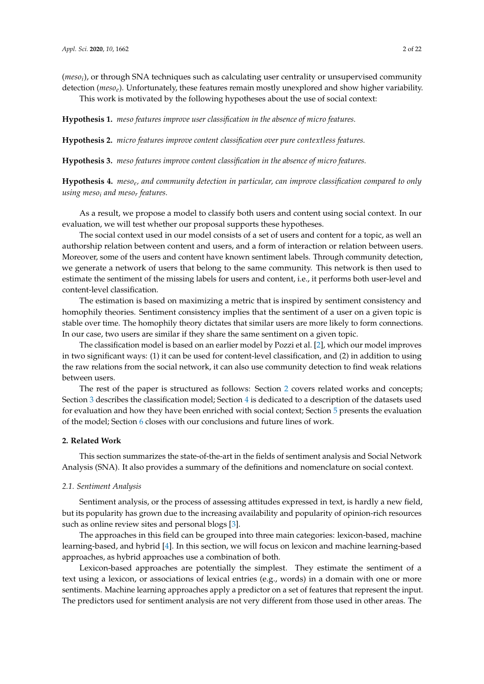(*meso<sup>i</sup>* ), or through SNA techniques such as calculating user centrality or unsupervised community detection (*mesoe*). Unfortunately, these features remain mostly unexplored and show higher variability. This work is motivated by the following hypotheses about the use of social context:

<span id="page-1-1"></span>**Hypothesis 1.** *meso features improve user classification in the absence of micro features.*

<span id="page-1-3"></span>**Hypothesis 2.** *micro features improve content classification over pure contextless features.*

<span id="page-1-4"></span>**Hypothesis 3.** *meso features improve content classification in the absence of micro features.*

<span id="page-1-2"></span>**Hypothesis 4.** *meso<sup>e</sup> , and community detection in particular, can improve classification compared to only using meso<sup>i</sup> and meso<sup>r</sup> features.*

As a result, we propose a model to classify both users and content using social context. In our evaluation, we will test whether our proposal supports these hypotheses.

The social context used in our model consists of a set of users and content for a topic, as well an authorship relation between content and users, and a form of interaction or relation between users. Moreover, some of the users and content have known sentiment labels. Through community detection, we generate a network of users that belong to the same community. This network is then used to estimate the sentiment of the missing labels for users and content, i.e., it performs both user-level and content-level classification.

The estimation is based on maximizing a metric that is inspired by sentiment consistency and homophily theories. Sentiment consistency implies that the sentiment of a user on a given topic is stable over time. The homophily theory dictates that similar users are more likely to form connections. In our case, two users are similar if they share the same sentiment on a given topic.

The classification model is based on an earlier model by Pozzi et al. [\[2\]](#page-19-1), which our model improves in two significant ways: (1) it can be used for content-level classification, and (2) in addition to using the raw relations from the social network, it can also use community detection to find weak relations between users.

The rest of the paper is structured as follows: Section [2](#page-1-0) covers related works and concepts; Section [3](#page-5-0) describes the classification model; Section [4](#page-9-0) is dedicated to a description of the datasets used for evaluation and how they have been enriched with social context; Section [5](#page-10-0) presents the evaluation of the model; Section [6](#page-18-0) closes with our conclusions and future lines of work.

## <span id="page-1-0"></span>**2. Related Work**

This section summarizes the state-of-the-art in the fields of sentiment analysis and Social Network Analysis (SNA). It also provides a summary of the definitions and nomenclature on social context.

#### *2.1. Sentiment Analysis*

Sentiment analysis, or the process of assessing attitudes expressed in text, is hardly a new field, but its popularity has grown due to the increasing availability and popularity of opinion-rich resources such as online review sites and personal blogs [\[3\]](#page-19-2).

The approaches in this field can be grouped into three main categories: lexicon-based, machine learning-based, and hybrid [\[4\]](#page-19-3). In this section, we will focus on lexicon and machine learning-based approaches, as hybrid approaches use a combination of both.

Lexicon-based approaches are potentially the simplest. They estimate the sentiment of a text using a lexicon, or associations of lexical entries (e.g., words) in a domain with one or more sentiments. Machine learning approaches apply a predictor on a set of features that represent the input. The predictors used for sentiment analysis are not very different from those used in other areas. The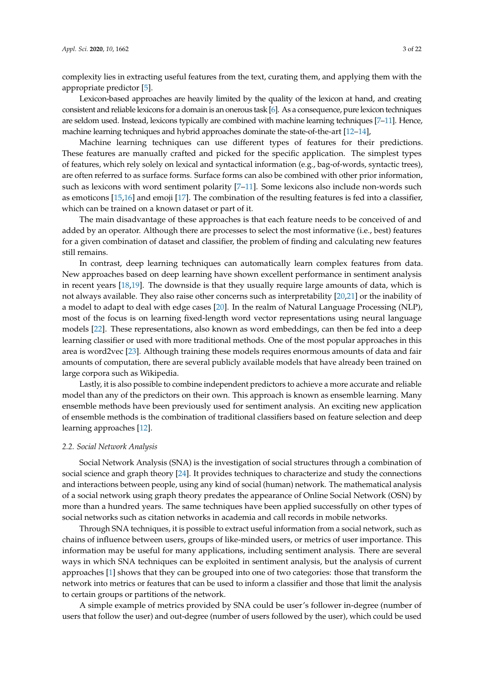complexity lies in extracting useful features from the text, curating them, and applying them with the appropriate predictor [\[5\]](#page-19-4).

Lexicon-based approaches are heavily limited by the quality of the lexicon at hand, and creating consistent and reliable lexicons for a domain is an onerous task [\[6\]](#page-19-5). As a consequence, pure lexicon techniques are seldom used. Instead, lexicons typically are combined with machine learning techniques [\[7–](#page-19-6)[11\]](#page-19-7). Hence, machine learning techniques and hybrid approaches dominate the state-of-the-art [\[12–](#page-19-8)[14\]](#page-20-0),

Machine learning techniques can use different types of features for their predictions. These features are manually crafted and picked for the specific application. The simplest types of features, which rely solely on lexical and syntactical information (e.g., bag-of-words, syntactic trees), are often referred to as surface forms. Surface forms can also be combined with other prior information, such as lexicons with word sentiment polarity [\[7–](#page-19-6)[11\]](#page-19-7). Some lexicons also include non-words such as emoticons [\[15,](#page-20-1)[16\]](#page-20-2) and emoji [\[17\]](#page-20-3). The combination of the resulting features is fed into a classifier, which can be trained on a known dataset or part of it.

The main disadvantage of these approaches is that each feature needs to be conceived of and added by an operator. Although there are processes to select the most informative (i.e., best) features for a given combination of dataset and classifier, the problem of finding and calculating new features still remains.

In contrast, deep learning techniques can automatically learn complex features from data. New approaches based on deep learning have shown excellent performance in sentiment analysis in recent years [\[18,](#page-20-4)[19\]](#page-20-5). The downside is that they usually require large amounts of data, which is not always available. They also raise other concerns such as interpretability [\[20](#page-20-6)[,21\]](#page-20-7) or the inability of a model to adapt to deal with edge cases [\[20\]](#page-20-6). In the realm of Natural Language Processing (NLP), most of the focus is on learning fixed-length word vector representations using neural language models [\[22\]](#page-20-8). These representations, also known as word embeddings, can then be fed into a deep learning classifier or used with more traditional methods. One of the most popular approaches in this area is word2vec [\[23\]](#page-20-9). Although training these models requires enormous amounts of data and fair amounts of computation, there are several publicly available models that have already been trained on large corpora such as Wikipedia.

Lastly, it is also possible to combine independent predictors to achieve a more accurate and reliable model than any of the predictors on their own. This approach is known as ensemble learning. Many ensemble methods have been previously used for sentiment analysis. An exciting new application of ensemble methods is the combination of traditional classifiers based on feature selection and deep learning approaches [\[12\]](#page-19-8).

#### *2.2. Social Network Analysis*

Social Network Analysis (SNA) is the investigation of social structures through a combination of social science and graph theory [\[24\]](#page-20-10). It provides techniques to characterize and study the connections and interactions between people, using any kind of social (human) network. The mathematical analysis of a social network using graph theory predates the appearance of Online Social Network (OSN) by more than a hundred years. The same techniques have been applied successfully on other types of social networks such as citation networks in academia and call records in mobile networks.

Through SNA techniques, it is possible to extract useful information from a social network, such as chains of influence between users, groups of like-minded users, or metrics of user importance. This information may be useful for many applications, including sentiment analysis. There are several ways in which SNA techniques can be exploited in sentiment analysis, but the analysis of current approaches [\[1\]](#page-19-0) shows that they can be grouped into one of two categories: those that transform the network into metrics or features that can be used to inform a classifier and those that limit the analysis to certain groups or partitions of the network.

A simple example of metrics provided by SNA could be user's follower in-degree (number of users that follow the user) and out-degree (number of users followed by the user), which could be used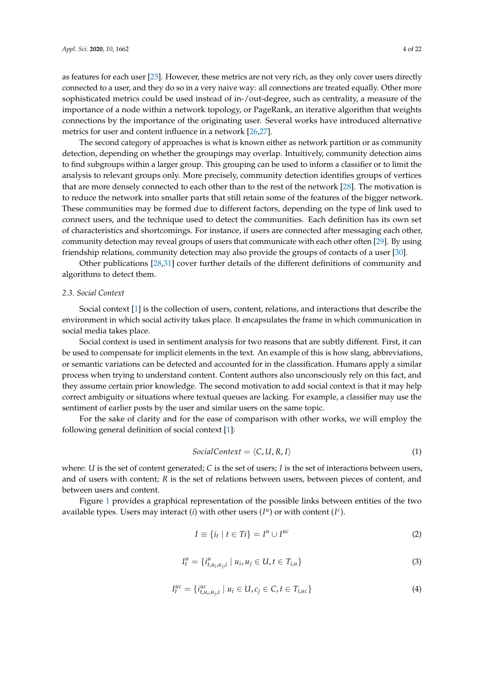as features for each user [\[25\]](#page-20-11). However, these metrics are not very rich, as they only cover users directly connected to a user, and they do so in a very naive way: all connections are treated equally. Other more sophisticated metrics could be used instead of in-/out-degree, such as centrality, a measure of the

importance of a node within a network topology, or PageRank, an iterative algorithm that weights connections by the importance of the originating user. Several works have introduced alternative metrics for user and content influence in a network [\[26](#page-20-12)[,27\]](#page-20-13).

The second category of approaches is what is known either as network partition or as community detection, depending on whether the groupings may overlap. Intuitively, community detection aims to find subgroups within a larger group. This grouping can be used to inform a classifier or to limit the analysis to relevant groups only. More precisely, community detection identifies groups of vertices that are more densely connected to each other than to the rest of the network [\[28\]](#page-20-14). The motivation is to reduce the network into smaller parts that still retain some of the features of the bigger network. These communities may be formed due to different factors, depending on the type of link used to connect users, and the technique used to detect the communities. Each definition has its own set of characteristics and shortcomings. For instance, if users are connected after messaging each other, community detection may reveal groups of users that communicate with each other often [\[29\]](#page-20-15). By using friendship relations, community detection may also provide the groups of contacts of a user [\[30\]](#page-20-16).

Other publications [\[28,](#page-20-14)[31\]](#page-20-17) cover further details of the different definitions of community and algorithms to detect them.

## *2.3. Social Context*

Social context [\[1\]](#page-19-0) is the collection of users, content, relations, and interactions that describe the environment in which social activity takes place. It encapsulates the frame in which communication in social media takes place.

Social context is used in sentiment analysis for two reasons that are subtly different. First, it can be used to compensate for implicit elements in the text. An example of this is how slang, abbreviations, or semantic variations can be detected and accounted for in the classification. Humans apply a similar process when trying to understand content. Content authors also unconsciously rely on this fact, and they assume certain prior knowledge. The second motivation to add social context is that it may help correct ambiguity or situations where textual queues are lacking. For example, a classifier may use the sentiment of earlier posts by the user and similar users on the same topic.

For the sake of clarity and for the ease of comparison with other works, we will employ the following general definition of social context [\[1\]](#page-19-0):

$$
SocialContext = \langle C, U, R, I \rangle \tag{1}
$$

where: *U* is the set of content generated; *C* is the set of users; *I* is the set of interactions between users, and of users with content; *R* is the set of relations between users, between pieces of content, and between users and content.

Figure [1](#page-4-0) provides a graphical representation of the possible links between entities of the two available types. Users may interact (*i*) with other users ( $I^u$ ) or with content ( $I^c$ ).

$$
I \equiv \{i_t \mid t \in Ti\} = I^u \cup I^{uc} \tag{2}
$$

$$
I_t^u = \{ i_{t, u_i, u_j, i}^u \mid u_i, u_j \in U, t \in T_{i, u} \}
$$
\n(3)

$$
I_t^{uc} = \{ i_{t, u_i, u_{j}, i}^{uc} \mid u_i \in U, c_j \in C, t \in T_{i,uc} \}
$$
\n(4)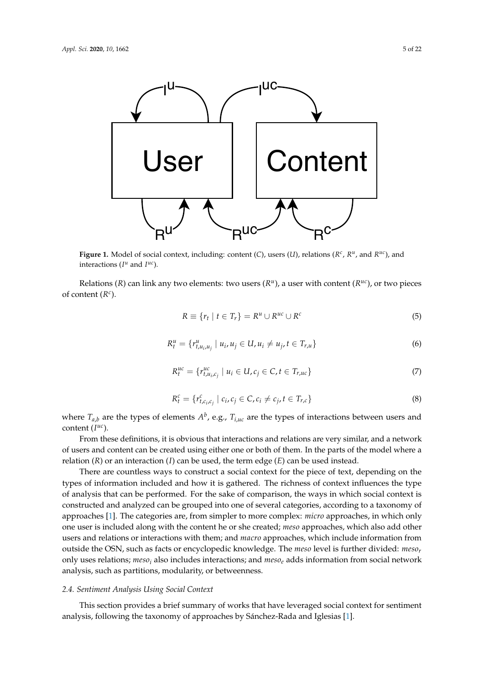<span id="page-4-0"></span>

Figure 1. Model of social context, including: content (C), users (U), relations ( $R^c$ ,  $R^u$ , and  $R^{uc}$ ), and interactions ( $I^u$  and  $I^{uc}$ ).

Relations (*R*) can link any two elements: two users ( $R^u$ ), a user with content ( $R^{uc}$ ), or two pieces of content  $(R^c)$ .

$$
R \equiv \{r_t \mid t \in T_r\} = R^u \cup R^{uc} \cup R^c \tag{5}
$$

$$
R_t^u = \{r_{t, u_i, u_j}^u \mid u_i, u_j \in U, u_i \neq u_j, t \in T_{r, u}\}\tag{6}
$$

$$
R_t^{uc} = \{r_{t,u_i,c_j}^{uc} \mid u_i \in U, c_j \in C, t \in T_{r,uc}\}\tag{7}
$$

$$
R_t^c = \{r_{t,c_i,c_j}^c \mid c_i, c_j \in C, c_i \neq c_j, t \in T_{r,c}\}\tag{8}
$$

where  $T_{a,b}$  are the types of elements  $A^b$ , e.g.,  $T_{i,\mu c}$  are the types of interactions between users and content  $(I^{uc})$ .

From these definitions, it is obvious that interactions and relations are very similar, and a network of users and content can be created using either one or both of them. In the parts of the model where a relation  $(R)$  or an interaction  $(I)$  can be used, the term edge  $(E)$  can be used instead.

There are countless ways to construct a social context for the piece of text, depending on the types of information included and how it is gathered. The richness of context influences the type of analysis that can be performed. For the sake of comparison, the ways in which social context is constructed and analyzed can be grouped into one of several categories, according to a taxonomy of approaches [\[1\]](#page-19-0). The categories are, from simpler to more complex: *micro* approaches, in which only one user is included along with the content he or she created; *meso* approaches, which also add other users and relations or interactions with them; and *macro* approaches, which include information from outside the OSN, such as facts or encyclopedic knowledge. The *meso* level is further divided: *meso<sup>r</sup>* only uses relations; *meso<sup>i</sup>* also includes interactions; and *meso<sup>e</sup>* adds information from social network analysis, such as partitions, modularity, or betweenness.

#### <span id="page-4-1"></span>*2.4. Sentiment Analysis Using Social Context*

This section provides a brief summary of works that have leveraged social context for sentiment analysis, following the taxonomy of approaches by Sánchez-Rada and Iglesias [\[1\]](#page-19-0).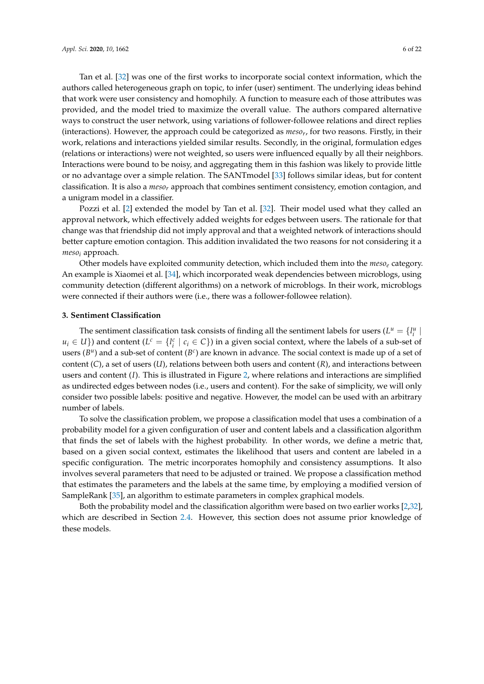Tan et al. [\[32\]](#page-20-18) was one of the first works to incorporate social context information, which the authors called heterogeneous graph on topic, to infer (user) sentiment. The underlying ideas behind that work were user consistency and homophily. A function to measure each of those attributes was provided, and the model tried to maximize the overall value. The authors compared alternative ways to construct the user network, using variations of follower-followee relations and direct replies (interactions). However, the approach could be categorized as *meso<sup>r</sup>* , for two reasons. Firstly, in their work, relations and interactions yielded similar results. Secondly, in the original, formulation edges (relations or interactions) were not weighted, so users were influenced equally by all their neighbors. Interactions were bound to be noisy, and aggregating them in this fashion was likely to provide little or no advantage over a simple relation. The SANTmodel [\[33\]](#page-20-19) follows similar ideas, but for content classification. It is also a *meso<sup>r</sup>* approach that combines sentiment consistency, emotion contagion, and a unigram model in a classifier.

Pozzi et al. [\[2\]](#page-19-1) extended the model by Tan et al. [\[32\]](#page-20-18). Their model used what they called an approval network, which effectively added weights for edges between users. The rationale for that change was that friendship did not imply approval and that a weighted network of interactions should better capture emotion contagion. This addition invalidated the two reasons for not considering it a *meso<sup>i</sup>* approach.

Other models have exploited community detection, which included them into the *meso<sup>e</sup>* category. An example is Xiaomei et al. [\[34\]](#page-20-20), which incorporated weak dependencies between microblogs, using community detection (different algorithms) on a network of microblogs. In their work, microblogs were connected if their authors were (i.e., there was a follower-followee relation).

## <span id="page-5-0"></span>**3. Sentiment Classification**

The sentiment classification task consists of finding all the sentiment labels for users  $(L^u = \{l_i^u |$  $u_i \in U$ }) and content ( $L^c = \{l_i^c \mid c_i \in C\}$ ) in a given social context, where the labels of a sub-set of users  $(B^u)$  and a sub-set of content  $(B^c)$  are known in advance. The social context is made up of a set of content (*C*), a set of users (*U*), relations between both users and content (*R*), and interactions between users and content (*I*). This is illustrated in Figure [2,](#page-6-0) where relations and interactions are simplified as undirected edges between nodes (i.e., users and content). For the sake of simplicity, we will only consider two possible labels: positive and negative. However, the model can be used with an arbitrary number of labels.

To solve the classification problem, we propose a classification model that uses a combination of a probability model for a given configuration of user and content labels and a classification algorithm that finds the set of labels with the highest probability. In other words, we define a metric that, based on a given social context, estimates the likelihood that users and content are labeled in a specific configuration. The metric incorporates homophily and consistency assumptions. It also involves several parameters that need to be adjusted or trained. We propose a classification method that estimates the parameters and the labels at the same time, by employing a modified version of SampleRank [\[35\]](#page-20-21), an algorithm to estimate parameters in complex graphical models.

Both the probability model and the classification algorithm were based on two earlier works [\[2](#page-19-1)[,32\]](#page-20-18), which are described in Section [2.4.](#page-4-1) However, this section does not assume prior knowledge of these models.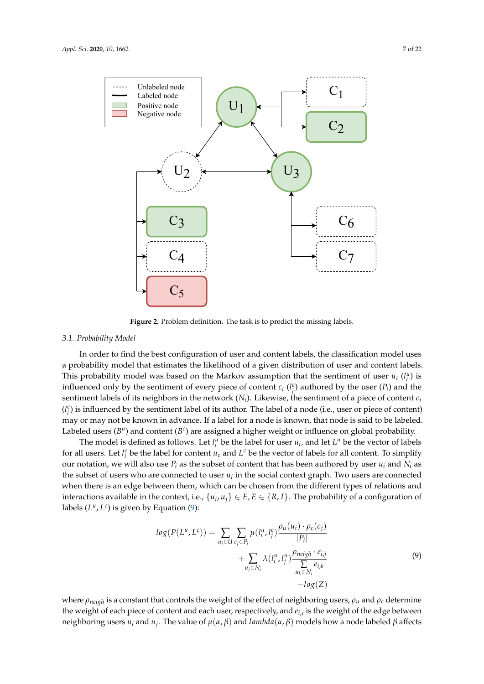<span id="page-6-0"></span>

**Figure 2.** Problem definition. The task is to predict the missing labels. **Figure 2.** Problem definition. The task is to predict the missing labels.

#### $2.1.1$  To classification problem, we problem, we provide that uses a combination of a combination of a combination of a combination of a combination of a combination of a combination of a combination of a combination of *3.1. Probability Model*

In order to find the best configuration of user and content labels, the classification model uses<br>
In order to find the best configuration of user and content labels, the classification model uses This probability model was based on the Markov assumption that the sentiment of user  $u_i$  ( $l_i^u$ ) is influenced only by the sentiment of every piece of content  $c_i$  ( $l_j^c$ ) authored by the user ( $P_i$ ) and the sentiment labels of its neighbors in the network  $(N_i)$ . Likewise, the sentiment of a piece of content  $c_i$  $(l_i^c)$  is influenced by the sentiment label of its author. The label of a node (i.e., user or piece of content) Labeled users  $(B^u)$  and content  $(B^c)$  are assigned a higher weight or influence on global probability. a probability model that estimates the likelihood of a given distribution of user and content labels. may or may not be known in advance. If a label for a node is known, that node is said to be labeled.

The model is defined as follows. Let  $l_i^u$  be the label for user  $u_i$ , and let  $L^u$  be the vector of labels for all users. Let  $l_i^c$  be the label for content  $u_c$  and  $L^c$  be the vector of labels for all content. To simplify our notation, we will also use  $P_i$  as the subset of content that has been authored by user  $u_i$  and  $N_i$  as the subset of users who are connected to user  $u_i$  in the social context graph. Two users are connected when there is an edge between them, which can be chosen from the different types of relations and interactions available in the context, i.e.,  $\{u_i, u_j\} \in E$ ,  $E \in \{R, I\}$ . The probability of a configuration of labels  $(L^u, L^c)$  is given by Equation  $(9)$ :

<span id="page-6-1"></span>
$$
log(P(L^u, L^c)) = \sum_{u_i \in U} \sum_{c_j \in P_i} \mu(l_i^u, l_j^c) \frac{\rho_u(u_i) \cdot \rho_c(c_j)}{|P_i|} + \sum_{u_j \in N_i} \lambda(l_i^u, l_j^u) \frac{\rho_{neigh} \cdot e_{i,j}}{\sum_{u_k \in N_i} e_{i,k}} e_{i,j} - log(Z)
$$
\n(9)

where *ρneigh* is a constant that controls the weight of the effect of neighboring users, *ρ<sup>u</sup>* and *ρ<sup>c</sup>* determine the weight of each piece of content and each user, respectively, and *ei*,*<sup>j</sup>* is the weight of the edge between neighboring users *u<sup>i</sup>* and *u<sup>j</sup>* . The value of *µ*(*α*, *β*) and *lambda*(*α*, *β*) models how a node labeled *β* affects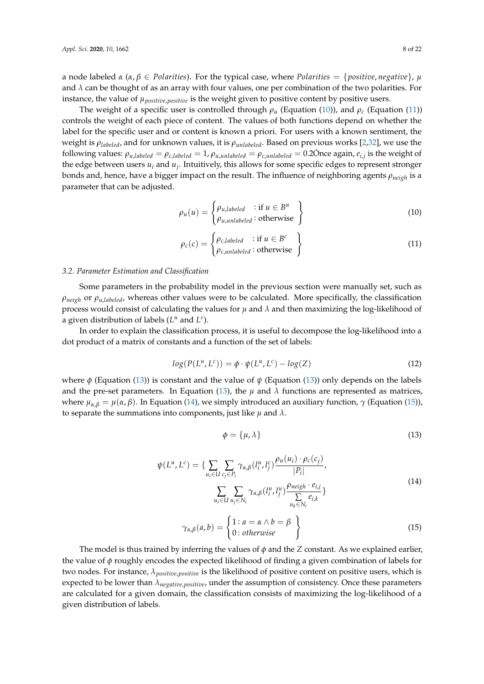a node labeled  $\alpha$  ( $\alpha$ ,  $\beta \in$  *Polarities*). For the typical case, where *Polarities* = {*positive*, *negative*},  $\mu$ and  $\lambda$  can be thought of as an array with four values, one per combination of the two polarities. For instance, the value of *µpositive*,*positive* is the weight given to positive content by positive users.

The weight of a specific user is controlled through  $\rho_u$  (Equation [\(10\)](#page-7-0)), and  $\rho_c$  (Equation [\(11\)](#page-7-1)) controls the weight of each piece of content. The values of both functions depend on whether the label for the specific user and or content is known a priori. For users with a known sentiment, the weight is *ρlabeled*, and for unknown values, it is *ρunlabeled*. Based on previous works [\[2,](#page-19-1)[32\]](#page-20-18), we use the following values:  $\rho_{u, labeled} = \rho_{c, labeled} = 1$ ,  $\rho_{u, unlabeled} = \rho_{c, unlabeled} = 0.2$ Once again,  $e_{i,j}$  is the weight of the edge between users  $u_i$  and  $u_j$ . Intuitively, this allows for some specific edges to represent stronger bonds and, hence, have a bigger impact on the result. The influence of neighboring agents *ρneigh* is a parameter that can be adjusted.

<span id="page-7-0"></span>
$$
\rho_u(u) = \begin{cases} \rho_{u, labeled} & \text{if } u \in B^u \\ \rho_{u, unlabeled} & \text{otherwise} \end{cases}
$$
\n(10)

<span id="page-7-1"></span>
$$
\rho_c(c) = \begin{cases} \rho_{c, labeled} & \text{if } u \in B^c \\ \rho_{c, unlabeled} & \text{otherwise} \end{cases}
$$
\n(11)

#### *3.2. Parameter Estimation and Classification*

Some parameters in the probability model in the previous section were manually set, such as *ρneigh* or *ρu*,*labeled*, whereas other values were to be calculated. More specifically, the classification process would consist of calculating the values for  $\mu$  and  $\lambda$  and then maximizing the log-likelihood of a given distribution of labels  $(L^u$  and  $L^c$ ).

In order to explain the classification process, it is useful to decompose the log-likelihood into a dot product of a matrix of constants and a function of the set of labels:

$$
log(P(L^u, L^c)) = \phi \cdot \psi(L^u, L^c) - log(Z)
$$
\n(12)

where *φ* (Equation [\(13\)](#page-7-2)) is constant and the value of *ψ* (Equation [\(13\)](#page-7-2)) only depends on the labels and the pre-set parameters. In Equation [\(13\)](#page-7-2), the  $\mu$  and  $\lambda$  functions are represented as matrices, where  $μ_{α,β} = μ(α, β)$ . In Equation [\(14\)](#page-7-3), we simply introduced an auxiliary function,  $γ$  (Equation [\(15\)](#page-7-4)), to separate the summations into components, just like  $\mu$  and  $\lambda$ .

<span id="page-7-2"></span>
$$
\phi = {\mu, \lambda}
$$
 (13)

<span id="page-7-4"></span><span id="page-7-3"></span>
$$
\psi(L^u, L^c) = \left\{ \sum_{u_i \in U} \sum_{c_j \in P_i} \gamma_{\alpha, \beta}(l_i^u, l_j^c) \frac{\rho_u(u_i) \cdot \rho_c(c_j)}{|P_i|}, \right\}
$$
\n
$$
\sum_{u_i \in U} \sum_{u_j \in N_i} \gamma_{\alpha, \beta}(l_i^u, l_j^u) \frac{\rho_{neigh} \cdot e_{i,j}}{\sum\limits_{u_k \in N_i} e_{i,k}} \right\}
$$
\n
$$
\gamma_{\alpha, \beta}(a, b) = \left\{ \begin{aligned} 1: a = \alpha \land b = \beta \\ 0: \text{otherwise} \end{aligned} \right\}
$$
\n(15)

The model is thus trained by inferring the values of  $\phi$  and the *Z* constant. As we explained earlier, the value of *φ* roughly encodes the expected likelihood of finding a given combination of labels for two nodes. For instance, *λpositive*,*positive* is the likelihood of positive content on positive users, which is expected to be lower than  $\lambda_{\text{negative, positive}}$ , under the assumption of consistency. Once these parameters are calculated for a given domain, the classification consists of maximizing the log-likelihood of a given distribution of labels.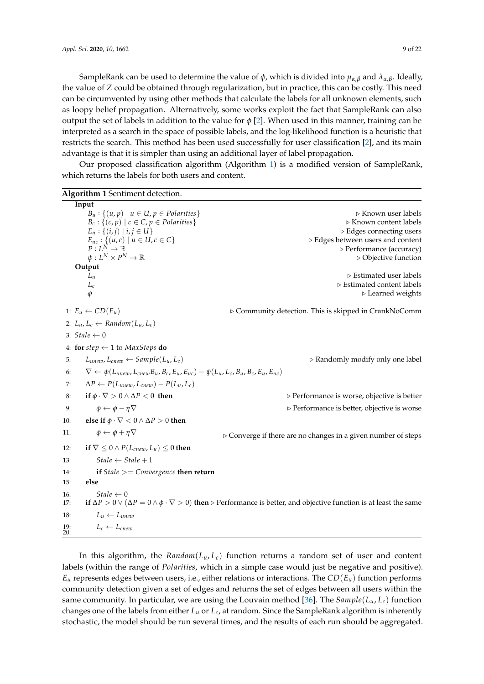SampleRank can be used to determine the value of  $\phi$ , which is divided into  $\mu_{\alpha,\beta}$  and  $\lambda_{\alpha,\beta}$ . Ideally, the value of *Z* could be obtained through regularization, but in practice, this can be costly. This need can be circumvented by using other methods that calculate the labels for all unknown elements, such as loopy belief propagation. Alternatively, some works exploit the fact that SampleRank can also output the set of labels in addition to the value for  $\phi$  [\[2\]](#page-19-1). When used in this manner, training can be interpreted as a search in the space of possible labels, and the log-likelihood function is a heuristic that restricts the search. This method has been used successfully for user classification [\[2\]](#page-19-1), and its main advantage is that it is simpler than using an additional layer of label propagation.

Our proposed classification algorithm (Algorithm [1\)](#page-8-0) is a modified version of SampleRank, which returns the labels for both users and content.

<span id="page-8-0"></span>

|            | Algorithm 1 Sentiment detection.                                                                          |                                                                                                                                                             |
|------------|-----------------------------------------------------------------------------------------------------------|-------------------------------------------------------------------------------------------------------------------------------------------------------------|
|            | Input                                                                                                     |                                                                                                                                                             |
|            | $B_u: \{(u, p) \mid u \in U, p \in$ Polarities $\}$                                                       | ⊳ Known user labels                                                                                                                                         |
|            | $B_c: \{(c, p) \mid c \in C, p \in Polarities\}$                                                          | ⊳ Known content labels                                                                                                                                      |
|            | $E_u: \{(i,j)   i,j \in U\}$                                                                              | $\triangleright$ Edges connecting users                                                                                                                     |
|            | $E_{uc}: \{(u,c) \mid u \in U, c \in C\}$<br>$P: L^N \to \mathbb{R}$                                      | ▷ Edges between users and content<br>▷ Performance (accuracy)                                                                                               |
|            | $\psi: L^N \times P^N \to \mathbb{R}$                                                                     | $\triangleright$ Objective function                                                                                                                         |
|            | Output                                                                                                    |                                                                                                                                                             |
|            | $L_u$                                                                                                     | $\triangleright$ Estimated user labels                                                                                                                      |
|            | $L_c$                                                                                                     | $\triangleright$ Estimated content labels                                                                                                                   |
|            | $\phi$                                                                                                    | $\triangleright$ Learned weights                                                                                                                            |
|            | 1: $E_u \leftarrow CD(E_u)$                                                                               | ▷ Community detection. This is skipped in CrankNoComm                                                                                                       |
|            | 2: $L_u, L_c \leftarrow Random(L_u, L_c)$                                                                 |                                                                                                                                                             |
|            | 3: Stale $\leftarrow$ 0                                                                                   |                                                                                                                                                             |
|            | 4: for step $\leftarrow$ 1 to MaxSteps do                                                                 |                                                                                                                                                             |
| 5:         | $L_{unew}$ , $L_{cnew} \leftarrow Sample(L_u, L_c)$                                                       | $\triangleright$ Randomly modify only one label                                                                                                             |
| 6:         | $\nabla \leftarrow \psi(L_{unew}, L_{chew}B_u, B_c, E_u, E_{uc}) - \psi(L_u, L_c, B_u, B_c, E_u, E_{uc})$ |                                                                                                                                                             |
| 7:         | $\Delta P \leftarrow P(L_{unew}, L_{cnew}) - P(L_u, L_c)$                                                 |                                                                                                                                                             |
| 8:         | if $\phi \cdot \nabla > 0 \wedge \Delta P < 0$ then                                                       | $\triangleright$ Performance is worse, objective is better                                                                                                  |
| 9:         | $\phi \leftarrow \phi - \eta \nabla$                                                                      | $\triangleright$ Performance is better, objective is worse                                                                                                  |
| 10:        | else if $\phi \cdot \nabla < 0 \wedge \Delta P > 0$ then                                                  |                                                                                                                                                             |
| 11:        | $\phi \leftarrow \phi + \eta \nabla$                                                                      | $\triangleright$ Converge if there are no changes in a given number of steps                                                                                |
| 12:        | if $\nabla \leq 0 \wedge P(L_{\text{cnew}}, L_u) \leq 0$ then                                             |                                                                                                                                                             |
| 13:        | $State \leftarrow State + 1$                                                                              |                                                                                                                                                             |
| 14:        | if $Stale >= Convergence$ then return                                                                     |                                                                                                                                                             |
| 15:        | else                                                                                                      |                                                                                                                                                             |
| 16:<br>17: | $State \leftarrow 0$                                                                                      | if $\Delta P > 0 \vee (\Delta P = 0 \wedge \phi \cdot \nabla > 0)$ then $\triangleright$ Performance is better, and objective function is at least the same |
| 18:        | $L_u \leftarrow L_{unew}$                                                                                 |                                                                                                                                                             |
| 19:<br>20: | $L_c \leftarrow L_{cnew}$                                                                                 |                                                                                                                                                             |

In this algorithm, the *Random*( $L_u$ ,  $L_c$ ) function returns a random set of user and content labels (within the range of *Polarities*, which in a simple case would just be negative and positive).  $E_u$  represents edges between users, i.e., either relations or interactions. The  $CD(E_u)$  function performs community detection given a set of edges and returns the set of edges between all users within the same community. In particular, we are using the Louvain method [\[36\]](#page-20-22). The  $Sample(L_u, L_c)$  function changes one of the labels from either *L<sup>u</sup>* or *Lc*, at random. Since the SampleRank algorithm is inherently stochastic, the model should be run several times, and the results of each run should be aggregated.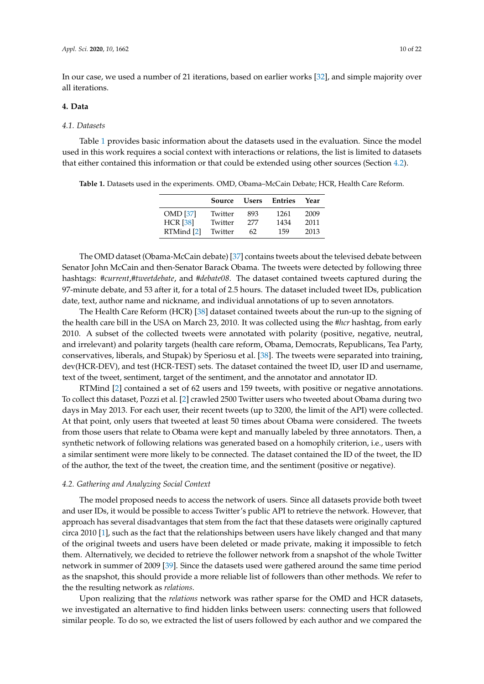In our case, we used a number of 21 iterations, based on earlier works [\[32\]](#page-20-18), and simple majority over all iterations.

#### <span id="page-9-0"></span>**4. Data**

## *4.1. Datasets*

Table [1](#page-9-1) provides basic information about the datasets used in the evaluation. Since the model used in this work requires a social context with interactions or relations, the list is limited to datasets that either contained this information or that could be extended using other sources (Section [4.2\)](#page-9-2).

<span id="page-9-1"></span>**Table 1.** Datasets used in the experiments. OMD, Obama–McCain Debate; HCR, Health Care Reform.

|                 | Source  | <b>Users</b> | Entries | Year |
|-----------------|---------|--------------|---------|------|
| <b>OMD</b> [37] | Twitter | 893          | 1261    | 2009 |
| <b>HCR</b> [38] | Twitter | 277          | 1434    | 2011 |
| RTMind [2]      | Twitter | 62           | 159     | 2013 |

The OMD dataset (Obama-McCain debate) [\[37\]](#page-20-23) contains tweets about the televised debate between Senator John McCain and then-Senator Barack Obama. The tweets were detected by following three hashtags: *#current*,*#tweetdebate*, and *#debate08*. The dataset contained tweets captured during the 97-minute debate, and 53 after it, for a total of 2.5 hours. The dataset included tweet IDs, publication date, text, author name and nickname, and individual annotations of up to seven annotators.

The Health Care Reform (HCR) [\[38\]](#page-21-0) dataset contained tweets about the run-up to the signing of the health care bill in the USA on March 23, 2010. It was collected using the *#hcr* hashtag, from early 2010. A subset of the collected tweets were annotated with polarity (positive, negative, neutral, and irrelevant) and polarity targets (health care reform, Obama, Democrats, Republicans, Tea Party, conservatives, liberals, and Stupak) by Speriosu et al. [\[38\]](#page-21-0). The tweets were separated into training, dev(HCR-DEV), and test (HCR-TEST) sets. The dataset contained the tweet ID, user ID and username, text of the tweet, sentiment, target of the sentiment, and the annotator and annotator ID.

RTMind [\[2\]](#page-19-1) contained a set of 62 users and 159 tweets, with positive or negative annotations. To collect this dataset, Pozzi et al. [\[2\]](#page-19-1) crawled 2500 Twitter users who tweeted about Obama during two days in May 2013. For each user, their recent tweets (up to 3200, the limit of the API) were collected. At that point, only users that tweeted at least 50 times about Obama were considered. The tweets from those users that relate to Obama were kept and manually labeled by three annotators. Then, a synthetic network of following relations was generated based on a homophily criterion, i.e., users with a similar sentiment were more likely to be connected. The dataset contained the ID of the tweet, the ID of the author, the text of the tweet, the creation time, and the sentiment (positive or negative).

#### <span id="page-9-2"></span>*4.2. Gathering and Analyzing Social Context*

The model proposed needs to access the network of users. Since all datasets provide both tweet and user IDs, it would be possible to access Twitter's public API to retrieve the network. However, that approach has several disadvantages that stem from the fact that these datasets were originally captured circa 2010 [\[1\]](#page-19-0), such as the fact that the relationships between users have likely changed and that many of the original tweets and users have been deleted or made private, making it impossible to fetch them. Alternatively, we decided to retrieve the follower network from a snapshot of the whole Twitter network in summer of 2009 [\[39\]](#page-21-1). Since the datasets used were gathered around the same time period as the snapshot, this should provide a more reliable list of followers than other methods. We refer to the the resulting network as *relations*.

Upon realizing that the *relations* network was rather sparse for the OMD and HCR datasets, we investigated an alternative to find hidden links between users: connecting users that followed similar people. To do so, we extracted the list of users followed by each author and we compared the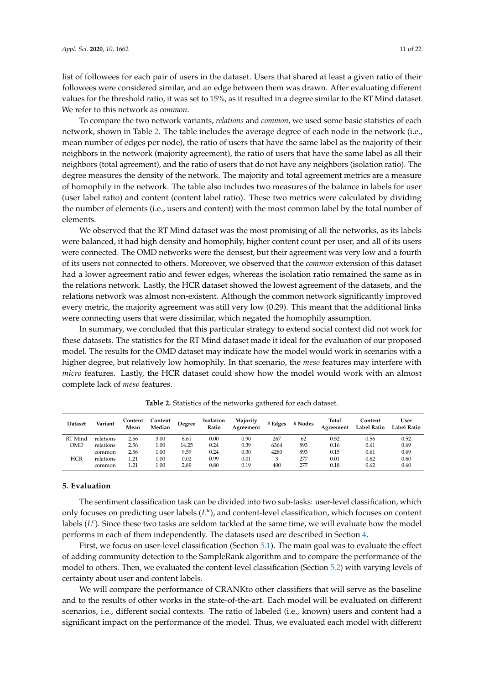list of followees for each pair of users in the dataset. Users that shared at least a given ratio of their followees were considered similar, and an edge between them was drawn. After evaluating different values for the threshold ratio, it was set to 15%, as it resulted in a degree similar to the RT Mind dataset. We refer to this network as *common*.

To compare the two network variants, *relations* and *common*, we used some basic statistics of each network, shown in Table [2.](#page-10-1) The table includes the average degree of each node in the network (i.e., mean number of edges per node), the ratio of users that have the same label as the majority of their neighbors in the network (majority agreement), the ratio of users that have the same label as all their neighbors (total agreement), and the ratio of users that do not have any neighbors (isolation ratio). The degree measures the density of the network. The majority and total agreement metrics are a measure of homophily in the network. The table also includes two measures of the balance in labels for user (user label ratio) and content (content label ratio). These two metrics were calculated by dividing the number of elements (i.e., users and content) with the most common label by the total number of elements.

We observed that the RT Mind dataset was the most promising of all the networks, as its labels were balanced, it had high density and homophily, higher content count per user, and all of its users were connected. The OMD networks were the densest, but their agreement was very low and a fourth of its users not connected to others. Moreover, we observed that the *common* extension of this dataset had a lower agreement ratio and fewer edges, whereas the isolation ratio remained the same as in the relations network. Lastly, the HCR dataset showed the lowest agreement of the datasets, and the relations network was almost non-existent. Although the common network significantly improved every metric, the majority agreement was still very low (0.29). This meant that the additional links were connecting users that were dissimilar, which negated the homophily assumption.

In summary, we concluded that this particular strategy to extend social context did not work for these datasets. The statistics for the RT Mind dataset made it ideal for the evaluation of our proposed model. The results for the OMD dataset may indicate how the model would work in scenarios with a higher degree, but relatively low homophily. In that scenario, the *meso* features may interfere with *micro* features. Lastly, the HCR dataset could show how the model would work with an almost complete lack of *meso* features.

<span id="page-10-1"></span>

| <b>Dataset</b> | Variant   | Content<br>Mean | Content<br>Median | Degree | Isolation<br>Ratio | Majority<br>Agreement | # Edges | # Nodes | Total<br>Agreement | Content<br><b>Label Ratio</b> | User<br><b>Label Ratio</b> |
|----------------|-----------|-----------------|-------------------|--------|--------------------|-----------------------|---------|---------|--------------------|-------------------------------|----------------------------|
| RT Mind        | relations | 2.56            | 3.00              | 8.61   | $0.00\,$           | 0.90                  | 267     | 62      | 0.52               | 0.56                          | 0.52                       |
| <b>OMD</b>     | relations | 2.56            | 1.00              | 14.25  | 0.24               | 0.39                  | 6364    | 893     | 0.16               | 0.61                          | 0.69                       |
|                | common    | 2.56            | 1.00              | 9.59   | 0.24               | 0.30                  | 4280    | 893     | 0.15               | 0.61                          | 0.69                       |
| <b>HCR</b>     | relations | 1.21            | 1.00              | 0.02   | 0.99               | 0.01                  |         | 277     | 0.01               | 0.62                          | 0.60                       |
|                | common    | 1.21            | 1.00              | 2.89   | 0.80               | 0.19                  | 400     | 277     | 0.18               | 0.62                          | 0.60                       |

**Table 2.** Statistics of the networks gathered for each dataset.

## <span id="page-10-0"></span>**5. Evaluation**

The sentiment classification task can be divided into two sub-tasks: user-level classification, which only focuses on predicting user labels ( $L^u$ ), and content-level classification, which focuses on content labels (*L c* ). Since these two tasks are seldom tackled at the same time, we will evaluate how the model performs in each of them independently. The datasets used are described in Section [4.](#page-9-0)

First, we focus on user-level classification (Section [5.1\)](#page-11-0). The main goal was to evaluate the effect of adding community detection to the SampleRank algorithm and to compare the performance of the model to others. Then, we evaluated the content-level classification (Section [5.2\)](#page-12-0) with varying levels of certainty about user and content labels.

We will compare the performance of CRANKto other classifiers that will serve as the baseline and to the results of other works in the state-of-the-art. Each model will be evaluated on different scenarios, i.e., different social contexts. The ratio of labeled (i.e., known) users and content had a significant impact on the performance of the model. Thus, we evaluated each model with different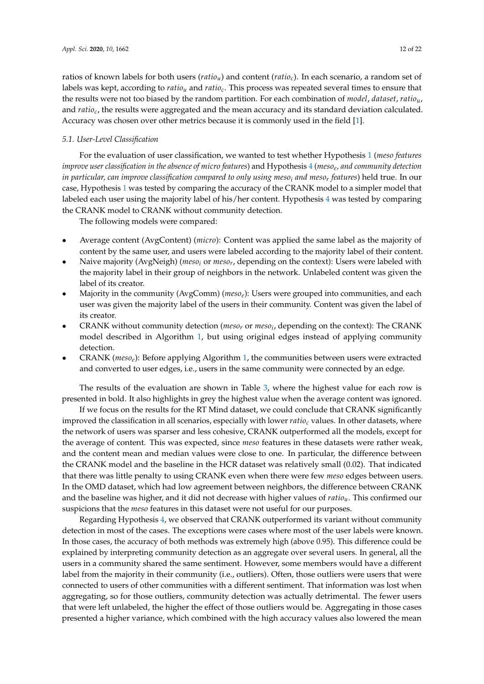## <span id="page-11-0"></span>*5.1. User-Level Classification*

For the evaluation of user classification, we wanted to test whether Hypothesis [1](#page-1-1) (*meso features improve user classification in the absence of micro features*) and Hypothesis [4](#page-1-2) (*meso<sup>e</sup> , and community detection in particular, can improve classification compared to only using meso<sup>i</sup> and meso<sup>r</sup> features*) held true. In our case, Hypothesis [1](#page-1-1) was tested by comparing the accuracy of the CRANK model to a simpler model that labeled each user using the majority label of his/her content. Hypothesis [4](#page-1-2) was tested by comparing the CRANK model to CRANK without community detection.

The following models were compared:

- Average content (AvgContent) (*micro*): Content was applied the same label as the majority of content by the same user, and users were labeled according to the majority label of their content.
- Naive majority (AvgNeigh) (*meso<sup>i</sup>* or *meso<sup>r</sup>* , depending on the context): Users were labeled with the majority label in their group of neighbors in the network. Unlabeled content was given the label of its creator.
- Majority in the community (AvgComm) (*mesoe*): Users were grouped into communities, and each user was given the majority label of the users in their community. Content was given the label of its creator.
- CRANK without community detection (*meso<sup>r</sup>* or *meso<sup>i</sup>* , depending on the context): The CRANK model described in Algorithm [1,](#page-8-0) but using original edges instead of applying community detection.
- CRANK (*mesoe*): Before applying Algorithm [1,](#page-8-0) the communities between users were extracted and converted to user edges, i.e., users in the same community were connected by an edge.

The results of the evaluation are shown in Table [3,](#page-12-1) where the highest value for each row is presented in bold. It also highlights in grey the highest value when the average content was ignored.

If we focus on the results for the RT Mind dataset, we could conclude that CRANK significantly improved the classification in all scenarios, especially with lower *ratio<sup>c</sup>* values. In other datasets, where the network of users was sparser and less cohesive, CRANK outperformed all the models, except for the average of content. This was expected, since *meso* features in these datasets were rather weak, and the content mean and median values were close to one. In particular, the difference between the CRANK model and the baseline in the HCR dataset was relatively small (0.02). That indicated that there was little penalty to using CRANK even when there were few *meso* edges between users. In the OMD dataset, which had low agreement between neighbors, the difference between CRANK and the baseline was higher, and it did not decrease with higher values of *ratiou*. This confirmed our suspicions that the *meso* features in this dataset were not useful for our purposes.

Regarding Hypothesis [4,](#page-1-2) we observed that CRANK outperformed its variant without community detection in most of the cases. The exceptions were cases where most of the user labels were known. In those cases, the accuracy of both methods was extremely high (above 0.95). This difference could be explained by interpreting community detection as an aggregate over several users. In general, all the users in a community shared the same sentiment. However, some members would have a different label from the majority in their community (i.e., outliers). Often, those outliers were users that were connected to users of other communities with a different sentiment. That information was lost when aggregating, so for those outliers, community detection was actually detrimental. The fewer users that were left unlabeled, the higher the effect of those outliers would be. Aggregating in those cases presented a higher variance, which combined with the high accuracy values also lowered the mean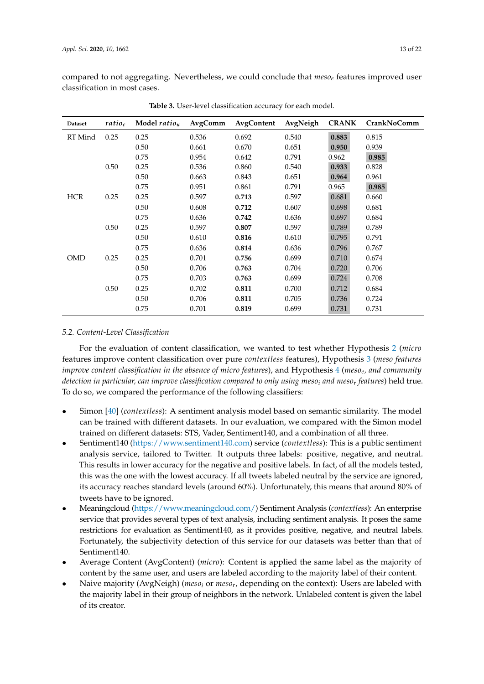compared to not aggregating. Nevertheless, we could conclude that *meso<sup>e</sup>* features improved user classification in most cases.

<span id="page-12-1"></span>

| <b>Dataset</b> | $ratio_c$ | Model ratio <sub>u</sub> | AvgComm | AvgContent | AvgNeigh | <b>CRANK</b> | <b>CrankNoComm</b> |
|----------------|-----------|--------------------------|---------|------------|----------|--------------|--------------------|
| RT Mind        | 0.25      | 0.25                     | 0.536   | 0.692      | 0.540    | 0.883        | 0.815              |
|                |           | 0.50                     | 0.661   | 0.670      | 0.651    | 0.950        | 0.939              |
|                |           | 0.75                     | 0.954   | 0.642      | 0.791    | 0.962        | 0.985              |
|                | 0.50      | 0.25                     | 0.536   | 0.860      | 0.540    | 0.933        | 0.828              |
|                |           | 0.50                     | 0.663   | 0.843      | 0.651    | 0.964        | 0.961              |
|                |           | 0.75                     | 0.951   | 0.861      | 0.791    | 0.965        | 0.985              |
| <b>HCR</b>     | 0.25      | 0.25                     | 0.597   | 0.713      | 0.597    | 0.681        | 0.660              |
|                |           | 0.50                     | 0.608   | 0.712      | 0.607    | 0.698        | 0.681              |
|                |           | 0.75                     | 0.636   | 0.742      | 0.636    | 0.697        | 0.684              |
|                | 0.50      | 0.25                     | 0.597   | 0.807      | 0.597    | 0.789        | 0.789              |
|                |           | 0.50                     | 0.610   | 0.816      | 0.610    | 0.795        | 0.791              |
|                |           | 0.75                     | 0.636   | 0.814      | 0.636    | 0.796        | 0.767              |
| <b>OMD</b>     | 0.25      | 0.25                     | 0.701   | 0.756      | 0.699    | 0.710        | 0.674              |
|                |           | 0.50                     | 0.706   | 0.763      | 0.704    | 0.720        | 0.706              |
|                |           | 0.75                     | 0.703   | 0.763      | 0.699    | 0.724        | 0.708              |
|                | 0.50      | 0.25                     | 0.702   | 0.811      | 0.700    | 0.712        | 0.684              |
|                |           | 0.50                     | 0.706   | 0.811      | 0.705    | 0.736        | 0.724              |
|                |           | 0.75                     | 0.701   | 0.819      | 0.699    | 0.731        | 0.731              |

**Table 3.** User-level classification accuracy for each model.

## <span id="page-12-0"></span>*5.2. Content-Level Classification*

For the evaluation of content classification, we wanted to test whether Hypothesis [2](#page-1-3) (*micro* features improve content classification over pure *contextless* features), Hypothesis [3](#page-1-4) (*meso features improve content classification in the absence of micro features*), and Hypothesis [4](#page-1-2) (*meso<sup>e</sup> , and community detection in particular, can improve classification compared to only using meso<sup>i</sup> and meso<sup>r</sup> features*) held true. To do so, we compared the performance of the following classifiers:

- Simon [\[40\]](#page-21-2) (*contextless*): A sentiment analysis model based on semantic similarity. The model can be trained with different datasets. In our evaluation, we compared with the Simon model trained on different datasets: STS, Vader, Sentiment140, and a combination of all three.
- Sentiment140 [\(https://www.sentiment140.com\)](https://www.sentiment140.com) service (*contextless*): This is a public sentiment analysis service, tailored to Twitter. It outputs three labels: positive, negative, and neutral. This results in lower accuracy for the negative and positive labels. In fact, of all the models tested, this was the one with the lowest accuracy. If all tweets labeled neutral by the service are ignored, its accuracy reaches standard levels (around 60%). Unfortunately, this means that around 80% of tweets have to be ignored.
- Meaningcloud [\(https://www.meaningcloud.com/\)](https://www.meaningcloud.com/) Sentiment Analysis (*contextless*): An enterprise service that provides several types of text analysis, including sentiment analysis. It poses the same restrictions for evaluation as Sentiment140, as it provides positive, negative, and neutral labels. Fortunately, the subjectivity detection of this service for our datasets was better than that of Sentiment140.
- Average Content (AvgContent) (*micro*): Content is applied the same label as the majority of content by the same user, and users are labeled according to the majority label of their content.
- Naive majority (AvgNeigh) (*meso<sup>i</sup>* or *meso<sup>r</sup>* , depending on the context): Users are labeled with the majority label in their group of neighbors in the network. Unlabeled content is given the label of its creator.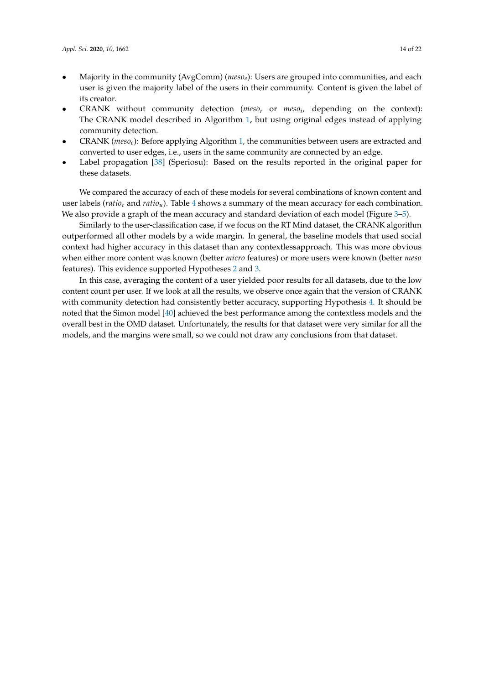- Majority in the community (AvgComm) (*mesoe*): Users are grouped into communities, and each user is given the majority label of the users in their community. Content is given the label of its creator.
- CRANK without community detection (*meso<sup>r</sup>* or *meso<sup>i</sup>* , depending on the context): The CRANK model described in Algorithm [1,](#page-8-0) but using original edges instead of applying community detection.
- CRANK (*mesoe*): Before applying Algorithm [1,](#page-8-0) the communities between users are extracted and converted to user edges, i.e., users in the same community are connected by an edge.
- Label propagation [\[38\]](#page-21-0) (Speriosu): Based on the results reported in the original paper for these datasets.

We compared the accuracy of each of these models for several combinations of known content and user labels (*ratio<sup>c</sup>* and *ratiou*). Table [4](#page-14-0) shows a summary of the mean accuracy for each combination. We also provide a graph of the mean accuracy and standard deviation of each model (Figure [3–](#page-15-0)[5\)](#page-17-0).

Similarly to the user-classification case, if we focus on the RT Mind dataset, the CRANK algorithm outperformed all other models by a wide margin. In general, the baseline models that used social context had higher accuracy in this dataset than any contextlessapproach. This was more obvious when either more content was known (better *micro* features) or more users were known (better *meso* features). This evidence supported Hypotheses [2](#page-1-3) and [3.](#page-1-4)

In this case, averaging the content of a user yielded poor results for all datasets, due to the low content count per user. If we look at all the results, we observe once again that the version of CRANK with community detection had consistently better accuracy, supporting Hypothesis [4.](#page-1-2) It should be noted that the Simon model [\[40\]](#page-21-2) achieved the best performance among the contextless models and the overall best in the OMD dataset. Unfortunately, the results for that dataset were very similar for all the models, and the margins were small, so we could not draw any conclusions from that dataset.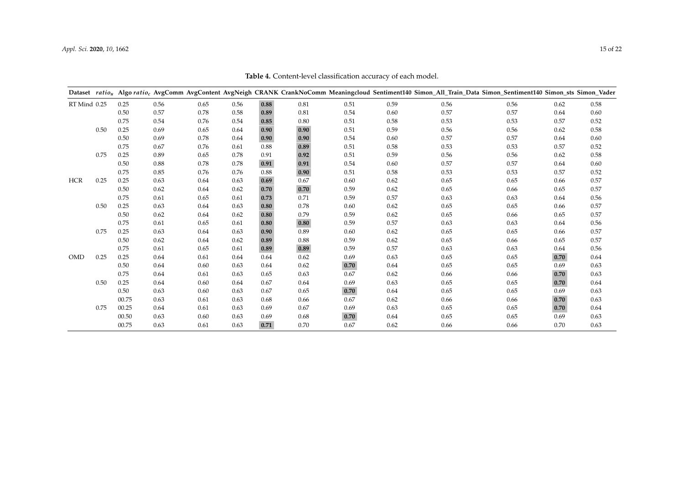<span id="page-14-0"></span>

|              |      |       |      |      |      |      |      |      |      | Dataset ratio <sub>u</sub> Algo ratio <sub>c</sub> AvgComm AvgContent AvgNeigh CRANK CrankNoComm Meaningcloud Sentiment140 Simon_All_Train_Data Simon_Sentiment140 Simon_sts Simon_Vader |      |      |      |
|--------------|------|-------|------|------|------|------|------|------|------|------------------------------------------------------------------------------------------------------------------------------------------------------------------------------------------|------|------|------|
| RT Mind 0.25 |      | 0.25  | 0.56 | 0.65 | 0.56 | 0.88 | 0.81 | 0.51 | 0.59 | 0.56                                                                                                                                                                                     | 0.56 | 0.62 | 0.58 |
|              |      | 0.50  | 0.57 | 0.78 | 0.58 | 0.89 | 0.81 | 0.54 | 0.60 | 0.57                                                                                                                                                                                     | 0.57 | 0.64 | 0.60 |
|              |      | 0.75  | 0.54 | 0.76 | 0.54 | 0.85 | 0.80 | 0.51 | 0.58 | 0.53                                                                                                                                                                                     | 0.53 | 0.57 | 0.52 |
|              | 0.50 | 0.25  | 0.69 | 0.65 | 0.64 | 0.90 | 0.90 | 0.51 | 0.59 | 0.56                                                                                                                                                                                     | 0.56 | 0.62 | 0.58 |
|              |      | 0.50  | 0.69 | 0.78 | 0.64 | 0.90 | 0.90 | 0.54 | 0.60 | 0.57                                                                                                                                                                                     | 0.57 | 0.64 | 0.60 |
|              |      | 0.75  | 0.67 | 0.76 | 0.61 | 0.88 | 0.89 | 0.51 | 0.58 | 0.53                                                                                                                                                                                     | 0.53 | 0.57 | 0.52 |
|              | 0.75 | 0.25  | 0.89 | 0.65 | 0.78 | 0.91 | 0.92 | 0.51 | 0.59 | 0.56                                                                                                                                                                                     | 0.56 | 0.62 | 0.58 |
|              |      | 0.50  | 0.88 | 0.78 | 0.78 | 0.91 | 0.91 | 0.54 | 0.60 | 0.57                                                                                                                                                                                     | 0.57 | 0.64 | 0.60 |
|              |      | 0.75  | 0.85 | 0.76 | 0.76 | 0.88 | 0.90 | 0.51 | 0.58 | 0.53                                                                                                                                                                                     | 0.53 | 0.57 | 0.52 |
| <b>HCR</b>   | 0.25 | 0.25  | 0.63 | 0.64 | 0.63 | 0.69 | 0.67 | 0.60 | 0.62 | 0.65                                                                                                                                                                                     | 0.65 | 0.66 | 0.57 |
|              |      | 0.50  | 0.62 | 0.64 | 0.62 | 0.70 | 0.70 | 0.59 | 0.62 | 0.65                                                                                                                                                                                     | 0.66 | 0.65 | 0.57 |
|              |      | 0.75  | 0.61 | 0.65 | 0.61 | 0.73 | 0.71 | 0.59 | 0.57 | 0.63                                                                                                                                                                                     | 0.63 | 0.64 | 0.56 |
|              | 0.50 | 0.25  | 0.63 | 0.64 | 0.63 | 0.80 | 0.78 | 0.60 | 0.62 | 0.65                                                                                                                                                                                     | 0.65 | 0.66 | 0.57 |
|              |      | 0.50  | 0.62 | 0.64 | 0.62 | 0.80 | 0.79 | 0.59 | 0.62 | 0.65                                                                                                                                                                                     | 0.66 | 0.65 | 0.57 |
|              |      | 0.75  | 0.61 | 0.65 | 0.61 | 0.80 | 0.80 | 0.59 | 0.57 | 0.63                                                                                                                                                                                     | 0.63 | 0.64 | 0.56 |
|              | 0.75 | 0.25  | 0.63 | 0.64 | 0.63 | 0.90 | 0.89 | 0.60 | 0.62 | 0.65                                                                                                                                                                                     | 0.65 | 0.66 | 0.57 |
|              |      | 0.50  | 0.62 | 0.64 | 0.62 | 0.89 | 0.88 | 0.59 | 0.62 | 0.65                                                                                                                                                                                     | 0.66 | 0.65 | 0.57 |
|              |      | 0.75  | 0.61 | 0.65 | 0.61 | 0.89 | 0.89 | 0.59 | 0.57 | 0.63                                                                                                                                                                                     | 0.63 | 0.64 | 0.56 |
| <b>OMD</b>   | 0.25 | 0.25  | 0.64 | 0.61 | 0.64 | 0.64 | 0.62 | 0.69 | 0.63 | 0.65                                                                                                                                                                                     | 0.65 | 0.70 | 0.64 |
|              |      | 0.50  | 0.64 | 0.60 | 0.63 | 0.64 | 0.62 | 0.70 | 0.64 | 0.65                                                                                                                                                                                     | 0.65 | 0.69 | 0.63 |
|              |      | 0.75  | 0.64 | 0.61 | 0.63 | 0.65 | 0.63 | 0.67 | 0.62 | 0.66                                                                                                                                                                                     | 0.66 | 0.70 | 0.63 |
|              | 0.50 | 0.25  | 0.64 | 0.60 | 0.64 | 0.67 | 0.64 | 0.69 | 0.63 | 0.65                                                                                                                                                                                     | 0.65 | 0.70 | 0.64 |
|              |      | 0.50  | 0.63 | 0.60 | 0.63 | 0.67 | 0.65 | 0.70 | 0.64 | 0.65                                                                                                                                                                                     | 0.65 | 0.69 | 0.63 |
|              |      | 00.75 | 0.63 | 0.61 | 0.63 | 0.68 | 0.66 | 0.67 | 0.62 | 0.66                                                                                                                                                                                     | 0.66 | 0.70 | 0.63 |
|              | 0.75 | 00.25 | 0.64 | 0.61 | 0.63 | 0.69 | 0.67 | 0.69 | 0.63 | 0.65                                                                                                                                                                                     | 0.65 | 0.70 | 0.64 |
|              |      | 00.50 | 0.63 | 0.60 | 0.63 | 0.69 | 0.68 | 0.70 | 0.64 | 0.65                                                                                                                                                                                     | 0.65 | 0.69 | 0.63 |
|              |      | 00.75 | 0.63 | 0.61 | 0.63 | 0.71 | 0.70 | 0.67 | 0.62 | 0.66                                                                                                                                                                                     | 0.66 | 0.70 | 0.63 |

**Table 4.** Content-level classification accuracy of each model.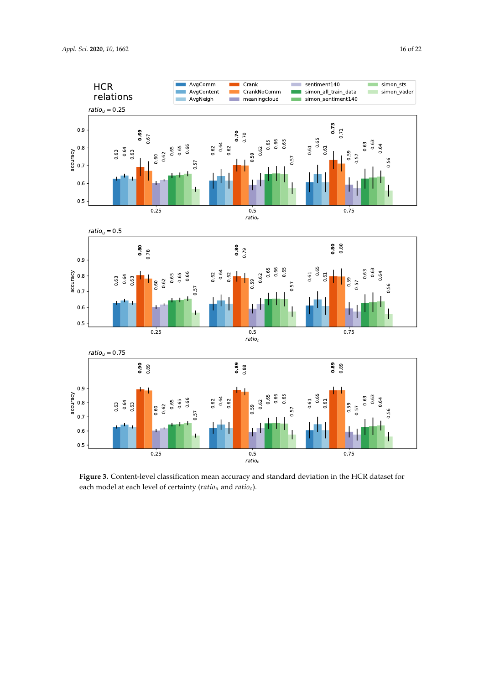<span id="page-15-0"></span>![](_page_15_Figure_1.jpeg)

**Figure 3.** Content-level classification mean accuracy and standard deviation in the HCR dataset for **Figure 3.** Content-level classification mean accuracy and standard deviation HCR dataset for each model at each level of certainty (*ratiou* and *ratioc*) each model at each level of certainty (*ratiou* and *ratioc*).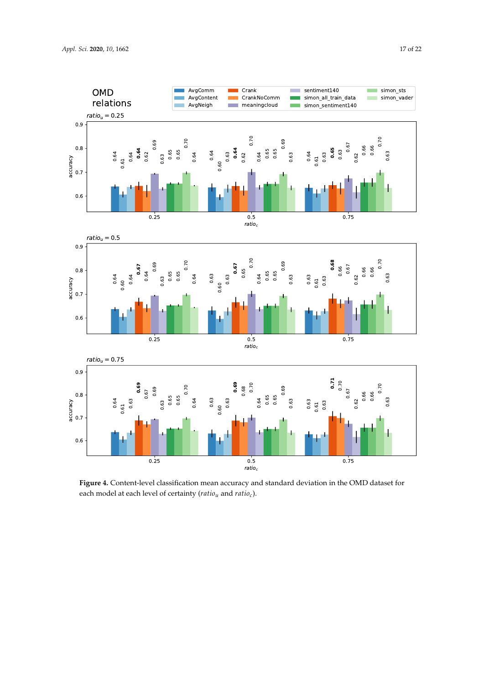![](_page_16_Figure_1.jpeg)

**Figure 4.** Content-level classification mean accuracy and standard deviation in the OMD dataset for **Figure 4.** Content-level classification mean accuracy and standard deviation in the OMD dataset for each model at each level of certainty (*ratiou* and *ratioc*) each model at each level of certainty (*ratiou* and *ratioc*).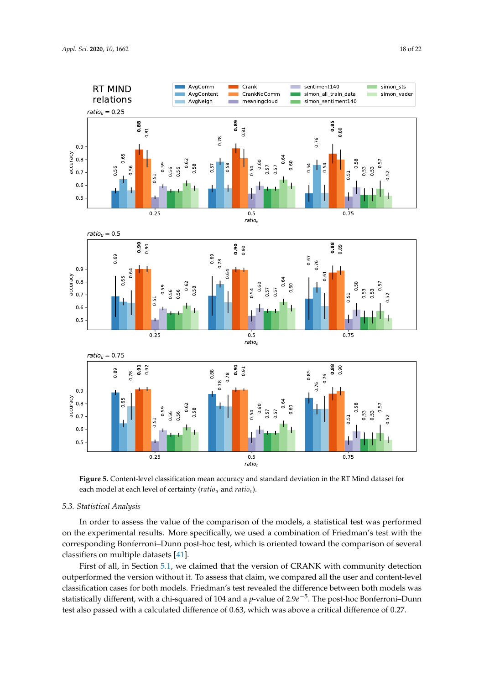<span id="page-17-0"></span>![](_page_17_Figure_1.jpeg)

**Figure 5.** Content-level classification mean accuracy and standard deviation in the RT Mind dataset for **Figure 5.** Content-level classification mean accuracy and standard deviation in the RT Mind dataset for each model at each level of certainty (*ratiou* and *ratioc*) each model at each level of certainty (*ratiou* and *ratioc*).

## *5.3. Statistical Analysis*

In order to assess the value of the comparison of the models, a statistical test was performed on the experimental results. More specifically, we used a combination of Friedman's test with the corresponding Bonferroni–Dunn post-hoc test, which is oriented toward the comparison of several classifiers on multiple datasets [\[41\]](#page-21-3).

First of all, in Section [5.1,](#page-11-0) we claimed that the version of CRANK with community detection outperformed the version without it. To assess that claim, we compared all the user and content-level classification cases for both models. Friedman's test revealed the difference between both models was statistically different, with a chi-squared of 104 and a *p*-value of 2.9*e* −5 . The post-hoc Bonferroni–Dunn test also passed with a calculated difference of 0.63, which was above a critical difference of 0.27.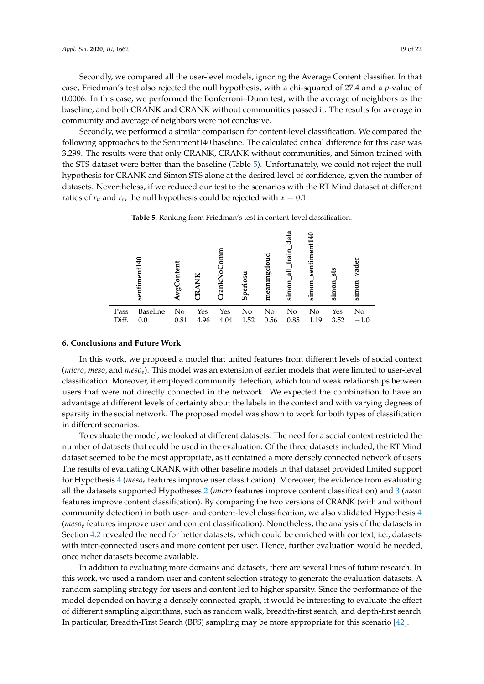Secondly, we compared all the user-level models, ignoring the Average Content classifier. In that case, Friedman's test also rejected the null hypothesis, with a chi-squared of 27.4 and a *p*-value of 0.0006. In this case, we performed the Bonferroni–Dunn test, with the average of neighbors as the baseline, and both CRANK and CRANK without communities passed it. The results for average in community and average of neighbors were not conclusive.

Secondly, we performed a similar comparison for content-level classification. We compared the following approaches to the Sentiment140 baseline. The calculated critical difference for this case was 3.299. The results were that only CRANK, CRANK without communities, and Simon trained with the STS dataset were better than the baseline (Table [5\)](#page-18-1). Unfortunately, we could not reject the null hypothesis for CRANK and Simon STS alone at the desired level of confidence, given the number of datasets. Nevertheless, if we reduced our test to the scenarios with the RT Mind dataset at different ratios of  $r_u$  and  $r_c$ , the null hypothesis could be rejected with  $\alpha = 0.1$ .

<span id="page-18-1"></span>

|       | sentiment140    | AvgConten | ХĶ<br>$\mathbb{R}$ | TrankNo | Speriosu | g<br>meaningclo | data<br>train<br>급<br>simon | timen<br>sent<br>simon | sts<br>simon | vader<br>simon |
|-------|-----------------|-----------|--------------------|---------|----------|-----------------|-----------------------------|------------------------|--------------|----------------|
| Pass  | <b>Baseline</b> | No        | Yes                | Yes     | No       | No              | No                          | No                     | Yes          | No             |
| Diff. | 0.0             | 0.81      | 4.96               | 4.04    | 1.52     | 0.56            | 0.85                        | 1.19                   | 3.52         | $-1.0$         |

**Table 5.** Ranking from Friedman's test in content-level classification.

#### <span id="page-18-0"></span>**6. Conclusions and Future Work**

In this work, we proposed a model that united features from different levels of social context (*micro*, *meso*, and *mesoe*). This model was an extension of earlier models that were limited to user-level classification. Moreover, it employed community detection, which found weak relationships between users that were not directly connected in the network. We expected the combination to have an advantage at different levels of certainty about the labels in the context and with varying degrees of sparsity in the social network. The proposed model was shown to work for both types of classification in different scenarios.

To evaluate the model, we looked at different datasets. The need for a social context restricted the number of datasets that could be used in the evaluation. Of the three datasets included, the RT Mind dataset seemed to be the most appropriate, as it contained a more densely connected network of users. The results of evaluating CRANK with other baseline models in that dataset provided limited support for Hypothesis [4](#page-1-2) (*meso<sup>e</sup>* features improve user classification). Moreover, the evidence from evaluating all the datasets supported Hypotheses [2](#page-1-3) (*micro* features improve content classification) and [3](#page-1-4) (*meso* features improve content classification). By comparing the two versions of CRANK (with and without community detection) in both user- and content-level classification, we also validated Hypothesis [4](#page-1-2) (*meso<sup>e</sup>* features improve user and content classification). Nonetheless, the analysis of the datasets in Section [4.2](#page-9-2) revealed the need for better datasets, which could be enriched with context, i.e., datasets with inter-connected users and more content per user. Hence, further evaluation would be needed, once richer datasets become available.

In addition to evaluating more domains and datasets, there are several lines of future research. In this work, we used a random user and content selection strategy to generate the evaluation datasets. A random sampling strategy for users and content led to higher sparsity. Since the performance of the model depended on having a densely connected graph, it would be interesting to evaluate the effect of different sampling algorithms, such as random walk, breadth-first search, and depth-first search. In particular, Breadth-First Search (BFS) sampling may be more appropriate for this scenario [\[42\]](#page-21-4).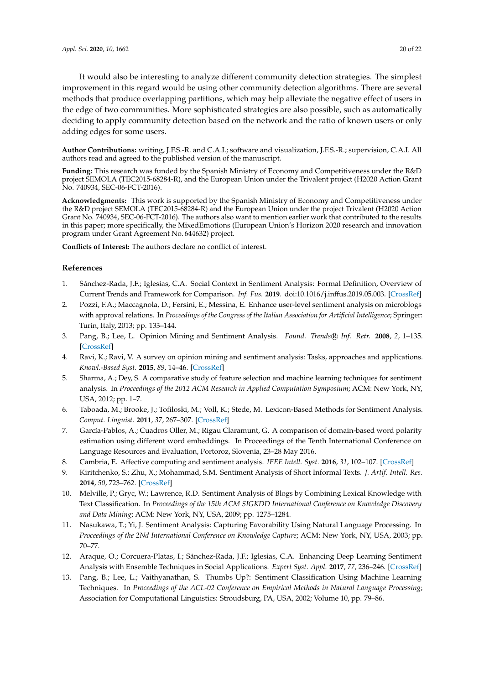It would also be interesting to analyze different community detection strategies. The simplest improvement in this regard would be using other community detection algorithms. There are several methods that produce overlapping partitions, which may help alleviate the negative effect of users in the edge of two communities. More sophisticated strategies are also possible, such as automatically deciding to apply community detection based on the network and the ratio of known users or only adding edges for some users.

**Author Contributions:** writing, J.F.S.-R. and C.A.I.; software and visualization, J.F.S.-R.; supervision, C.A.I. All authors read and agreed to the published version of the manuscript.

**Funding:** This research was funded by the Spanish Ministry of Economy and Competitiveness under the R&D project SEMOLA (TEC2015-68284-R), and the European Union under the Trivalent project (H2020 Action Grant No. 740934, SEC-06-FCT-2016).

**Acknowledgments:** This work is supported by the Spanish Ministry of Economy and Competitiveness under the R&D project SEMOLA (TEC2015-68284-R) and the European Union under the project Trivalent (H2020 Action Grant No. 740934, SEC-06-FCT-2016). The authors also want to mention earlier work that contributed to the results in this paper; more specifically, the MixedEmotions (European Union's Horizon 2020 research and innovation program under Grant Agreement No. 644632) project.

**Conflicts of Interest:** The authors declare no conflict of interest.

#### **References**

- <span id="page-19-0"></span>1. Sánchez-Rada, J.F.; Iglesias, C.A. Social Context in Sentiment Analysis: Formal Definition, Overview of Current Trends and Framework for Comparison. *Inf. Fus.* **2019**. doi[:10.1016/j.inffus.2019.05.003.](https://doi.org/10.1016/j.inffus.2019.05.003) [\[CrossRef\]](http://dx.doi.org/10.1016/j.inffus.2019.05.003)
- <span id="page-19-1"></span>2. Pozzi, F.A.; Maccagnola, D.; Fersini, E.; Messina, E. Enhance user-level sentiment analysis on microblogs with approval relations. In *Proceedings of the Congress of the Italian Association for Artificial Intelligence*; Springer: Turin, Italy, 2013; pp. 133–144.
- <span id="page-19-2"></span>3. Pang, B.; Lee, L. Opinion Mining and Sentiment Analysis. *Found. Trends* ® *Inf. Retr.* **2008**, 2, 1–135. [\[CrossRef\]](http://dx.doi.org/10.1561/1500000011)
- <span id="page-19-3"></span>4. Ravi, K.; Ravi, V. A survey on opinion mining and sentiment analysis: Tasks, approaches and applications. *Knowl.-Based Syst.* **2015**, *89*, 14–46. [\[CrossRef\]](http://dx.doi.org/10.1016/j.knosys.2015.06.015)
- <span id="page-19-4"></span>5. Sharma, A.; Dey, S. A comparative study of feature selection and machine learning techniques for sentiment analysis. In *Proceedings of the 2012 ACM Research in Applied Computation Symposium*; ACM: New York, NY, USA, 2012; pp. 1–7.
- <span id="page-19-5"></span>6. Taboada, M.; Brooke, J.; Tofiloski, M.; Voll, K.; Stede, M. Lexicon-Based Methods for Sentiment Analysis. *Comput. Linguist.* **2011**, *37*, 267–307. [\[CrossRef\]](http://dx.doi.org/10.1162/COLI_a_00049)
- <span id="page-19-6"></span>7. García-Pablos, A.; Cuadros Oller, M.; Rigau Claramunt, G. A comparison of domain-based word polarity estimation using different word embeddings. In Proceedings of the Tenth International Conference on Language Resources and Evaluation, Portoroz, Slovenia, 23–28 May 2016.
- 8. Cambria, E. Affective computing and sentiment analysis. *IEEE Intell. Syst.* **2016**, *31*, 102–107. [\[CrossRef\]](http://dx.doi.org/10.1109/MIS.2016.31)
- 9. Kiritchenko, S.; Zhu, X.; Mohammad, S.M. Sentiment Analysis of Short Informal Texts. *J. Artif. Intell. Res.* **2014**, *50*, 723–762. [\[CrossRef\]](http://dx.doi.org/10.1613/jair.4272)
- 10. Melville, P.; Gryc, W.; Lawrence, R.D. Sentiment Analysis of Blogs by Combining Lexical Knowledge with Text Classification. In *Proceedings of the 15th ACM SIGKDD International Conference on Knowledge Discovery and Data Mining*; ACM: New York, NY, USA, 2009; pp. 1275–1284.
- <span id="page-19-7"></span>11. Nasukawa, T.; Yi, J. Sentiment Analysis: Capturing Favorability Using Natural Language Processing. In *Proceedings of the 2Nd International Conference on Knowledge Capture*; ACM: New York, NY, USA, 2003; pp. 70–77.
- <span id="page-19-8"></span>12. Araque, O.; Corcuera-Platas, I.; Sánchez-Rada, J.F.; Iglesias, C.A. Enhancing Deep Learning Sentiment Analysis with Ensemble Techniques in Social Applications. *Expert Syst. Appl.* **2017**, *77*, 236–246. [\[CrossRef\]](http://dx.doi.org/10.1016/j.eswa.2017.02.002)
- 13. Pang, B.; Lee, L.; Vaithyanathan, S. Thumbs Up?: Sentiment Classification Using Machine Learning Techniques. In *Proceedings of the ACL-02 Conference on Empirical Methods in Natural Language Processing*; Association for Computational Linguistics: Stroudsburg, PA, USA, 2002; Volume 10, pp. 79–86.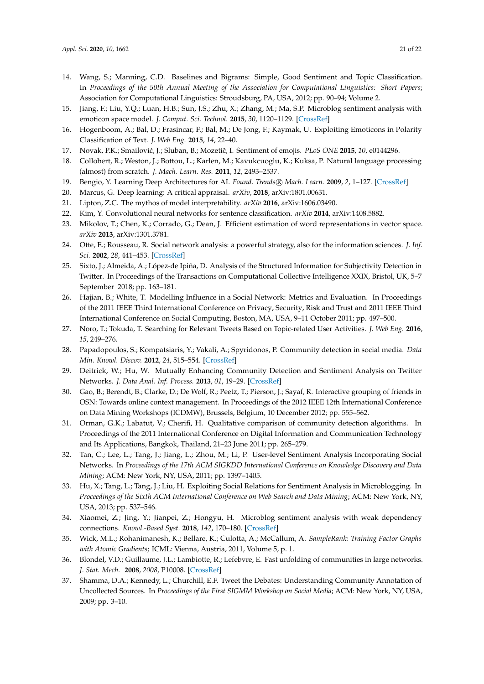- <span id="page-20-0"></span>14. Wang, S.; Manning, C.D. Baselines and Bigrams: Simple, Good Sentiment and Topic Classification. In *Proceedings of the 50th Annual Meeting of the Association for Computational Linguistics: Short Papers*; Association for Computational Linguistics: Stroudsburg, PA, USA, 2012; pp. 90–94; Volume 2.
- <span id="page-20-1"></span>15. Jiang, F.; Liu, Y.Q.; Luan, H.B.; Sun, J.S.; Zhu, X.; Zhang, M.; Ma, S.P. Microblog sentiment analysis with emoticon space model. *J. Comput. Sci. Technol.* **2015**, *30*, 1120–1129. [\[CrossRef\]](http://dx.doi.org/10.1007/s11390-015-1587-1)
- <span id="page-20-2"></span>16. Hogenboom, A.; Bal, D.; Frasincar, F.; Bal, M.; De Jong, F.; Kaymak, U. Exploiting Emoticons in Polarity Classification of Text. *J. Web Eng.* **2015**, *14*, 22–40.
- <span id="page-20-3"></span>17. Novak, P.K.; Smailović, J.; Sluban, B.; Mozetič, I. Sentiment of emojis. *PLoS ONE* 2015, 10, e0144296.
- <span id="page-20-4"></span>18. Collobert, R.; Weston, J.; Bottou, L.; Karlen, M.; Kavukcuoglu, K.; Kuksa, P. Natural language processing (almost) from scratch. *J. Mach. Learn. Res.* **2011**, *12*, 2493–2537.
- <span id="page-20-5"></span>19. Bengio, Y. Learning Deep Architectures for AI. *Found. Trends* R *Mach. Learn.* **2009**, *2*, 1–127. [\[CrossRef\]](http://dx.doi.org/10.1561/2200000006)
- <span id="page-20-6"></span>20. Marcus, G. Deep learning: A critical appraisal. *arXiv*, **2018**, arXiv:1801.00631.
- <span id="page-20-7"></span>21. Lipton, Z.C. The mythos of model interpretability. *arXiv* **2016**, arXiv:1606.03490.
- <span id="page-20-8"></span>22. Kim, Y. Convolutional neural networks for sentence classification. *arXiv* **2014**, arXiv:1408.5882.
- <span id="page-20-9"></span>23. Mikolov, T.; Chen, K.; Corrado, G.; Dean, J. Efficient estimation of word representations in vector space. *arXiv* **2013**, arXiv:1301.3781.
- <span id="page-20-10"></span>24. Otte, E.; Rousseau, R. Social network analysis: a powerful strategy, also for the information sciences. *J. Inf. Sci.* **2002**, *28*, 441–453. [\[CrossRef\]](http://dx.doi.org/10.1177/016555150202800601)
- <span id="page-20-11"></span>25. Sixto, J.; Almeida, A.; López-de Ipiña, D. Analysis of the Structured Information for Subjectivity Detection in Twitter. In Proceedings of the Transactions on Computational Collective Intelligence XXIX, Bristol, UK, 5–7 September 2018; pp. 163–181.
- <span id="page-20-12"></span>26. Hajian, B.; White, T. Modelling Influence in a Social Network: Metrics and Evaluation. In Proceedings of the 2011 IEEE Third International Conference on Privacy, Security, Risk and Trust and 2011 IEEE Third International Conference on Social Computing, Boston, MA, USA, 9–11 October 2011; pp. 497–500.
- <span id="page-20-13"></span>27. Noro, T.; Tokuda, T. Searching for Relevant Tweets Based on Topic-related User Activities. *J. Web Eng.* **2016**, *15*, 249–276.
- <span id="page-20-14"></span>28. Papadopoulos, S.; Kompatsiaris, Y.; Vakali, A.; Spyridonos, P. Community detection in social media. *Data Min. Knowl. Discov.* **2012**, *24*, 515–554. [\[CrossRef\]](http://dx.doi.org/10.1007/s10618-011-0224-z)
- <span id="page-20-15"></span>29. Deitrick, W.; Hu, W. Mutually Enhancing Community Detection and Sentiment Analysis on Twitter Networks. *J. Data Anal. Inf. Process.* **2013**, *01*, 19–29. [\[CrossRef\]](http://dx.doi.org/10.4236/jdaip.2013.13004)
- <span id="page-20-16"></span>30. Gao, B.; Berendt, B.; Clarke, D.; De Wolf, R.; Peetz, T.; Pierson, J.; Sayaf, R. Interactive grouping of friends in OSN: Towards online context management. In Proceedings of the 2012 IEEE 12th International Conference on Data Mining Workshops (ICDMW), Brussels, Belgium, 10 December 2012; pp. 555–562.
- <span id="page-20-17"></span>31. Orman, G.K.; Labatut, V.; Cherifi, H. Qualitative comparison of community detection algorithms. In Proceedings of the 2011 International Conference on Digital Information and Communication Technology and Its Applications, Bangkok, Thailand, 21–23 June 2011; pp. 265–279.
- <span id="page-20-18"></span>32. Tan, C.; Lee, L.; Tang, J.; Jiang, L.; Zhou, M.; Li, P. User-level Sentiment Analysis Incorporating Social Networks. In *Proceedings of the 17th ACM SIGKDD International Conference on Knowledge Discovery and Data Mining*; ACM: New York, NY, USA, 2011; pp. 1397–1405.
- <span id="page-20-19"></span>33. Hu, X.; Tang, L.; Tang, J.; Liu, H. Exploiting Social Relations for Sentiment Analysis in Microblogging. In *Proceedings of the Sixth ACM International Conference on Web Search and Data Mining*; ACM: New York, NY, USA, 2013; pp. 537–546.
- <span id="page-20-20"></span>34. Xiaomei, Z.; Jing, Y.; Jianpei, Z.; Hongyu, H. Microblog sentiment analysis with weak dependency connections. *Knowl.-Based Syst.* **2018**, *142*, 170–180. [\[CrossRef\]](http://dx.doi.org/10.1016/j.knosys.2017.11.035)
- <span id="page-20-21"></span>35. Wick, M.L.; Rohanimanesh, K.; Bellare, K.; Culotta, A.; McCallum, A. *SampleRank: Training Factor Graphs with Atomic Gradients*; ICML: Vienna, Austria, 2011, Volume 5, p. 1.
- <span id="page-20-22"></span>36. Blondel, V.D.; Guillaume, J.L.; Lambiotte, R.; Lefebvre, E. Fast unfolding of communities in large networks. *J. Stat. Mech.* **2008**, *2008*, P10008. [\[CrossRef\]](http://dx.doi.org/10.1088/1742-5468/2008/10/P10008)
- <span id="page-20-23"></span>37. Shamma, D.A.; Kennedy, L.; Churchill, E.F. Tweet the Debates: Understanding Community Annotation of Uncollected Sources. In *Proceedings of the First SIGMM Workshop on Social Media*; ACM: New York, NY, USA, 2009; pp. 3–10.